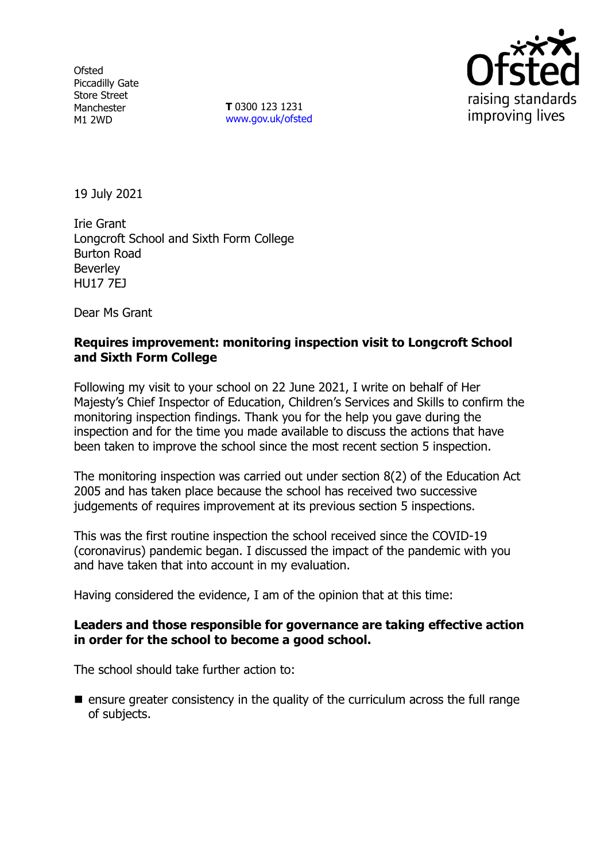**Ofsted** Piccadilly Gate Store Street Manchester M1 2WD

**T** 0300 123 1231 [www.gov.uk/ofsted](http://www.gov.uk/ofsted)



19 July 2021

Irie Grant Longcroft School and Sixth Form College Burton Road Beverley HU17 7EJ

Dear Ms Grant

## **Requires improvement: monitoring inspection visit to Longcroft School and Sixth Form College**

Following my visit to your school on 22 June 2021, I write on behalf of Her Majesty's Chief Inspector of Education, Children's Services and Skills to confirm the monitoring inspection findings. Thank you for the help you gave during the inspection and for the time you made available to discuss the actions that have been taken to improve the school since the most recent section 5 inspection.

The monitoring inspection was carried out under section 8(2) of the Education Act 2005 and has taken place because the school has received two successive judgements of requires improvement at its previous section 5 inspections.

This was the first routine inspection the school received since the COVID-19 (coronavirus) pandemic began. I discussed the impact of the pandemic with you and have taken that into account in my evaluation.

Having considered the evidence, I am of the opinion that at this time:

#### **Leaders and those responsible for governance are taking effective action in order for the school to become a good school.**

The school should take further action to:

**E** ensure greater consistency in the quality of the curriculum across the full range of subjects.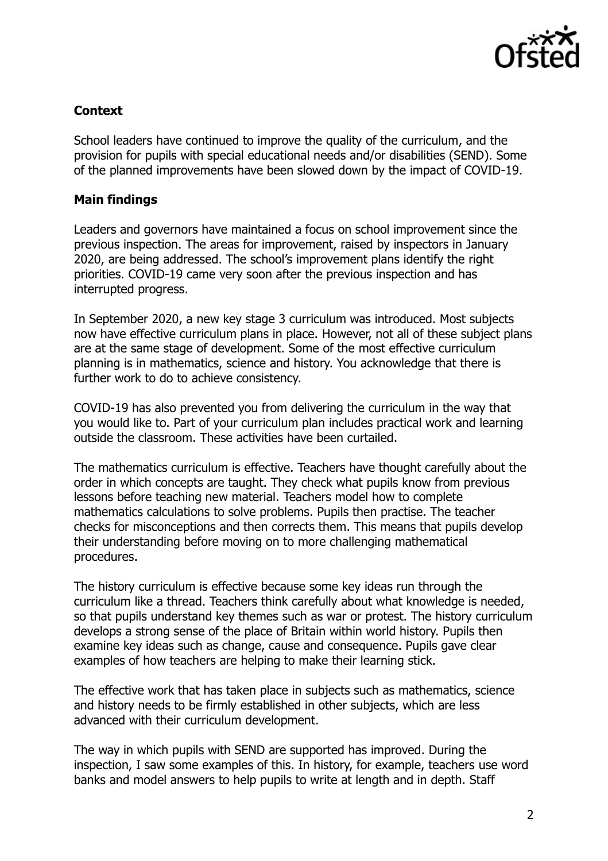

# **Context**

School leaders have continued to improve the quality of the curriculum, and the provision for pupils with special educational needs and/or disabilities (SEND). Some of the planned improvements have been slowed down by the impact of COVID-19.

## **Main findings**

Leaders and governors have maintained a focus on school improvement since the previous inspection. The areas for improvement, raised by inspectors in January 2020, are being addressed. The school's improvement plans identify the right priorities. COVID-19 came very soon after the previous inspection and has interrupted progress.

In September 2020, a new key stage 3 curriculum was introduced. Most subjects now have effective curriculum plans in place. However, not all of these subject plans are at the same stage of development. Some of the most effective curriculum planning is in mathematics, science and history. You acknowledge that there is further work to do to achieve consistency.

COVID-19 has also prevented you from delivering the curriculum in the way that you would like to. Part of your curriculum plan includes practical work and learning outside the classroom. These activities have been curtailed.

The mathematics curriculum is effective. Teachers have thought carefully about the order in which concepts are taught. They check what pupils know from previous lessons before teaching new material. Teachers model how to complete mathematics calculations to solve problems. Pupils then practise. The teacher checks for misconceptions and then corrects them. This means that pupils develop their understanding before moving on to more challenging mathematical procedures.

The history curriculum is effective because some key ideas run through the curriculum like a thread. Teachers think carefully about what knowledge is needed, so that pupils understand key themes such as war or protest. The history curriculum develops a strong sense of the place of Britain within world history. Pupils then examine key ideas such as change, cause and consequence. Pupils gave clear examples of how teachers are helping to make their learning stick.

The effective work that has taken place in subjects such as mathematics, science and history needs to be firmly established in other subjects, which are less advanced with their curriculum development.

The way in which pupils with SEND are supported has improved. During the inspection, I saw some examples of this. In history, for example, teachers use word banks and model answers to help pupils to write at length and in depth. Staff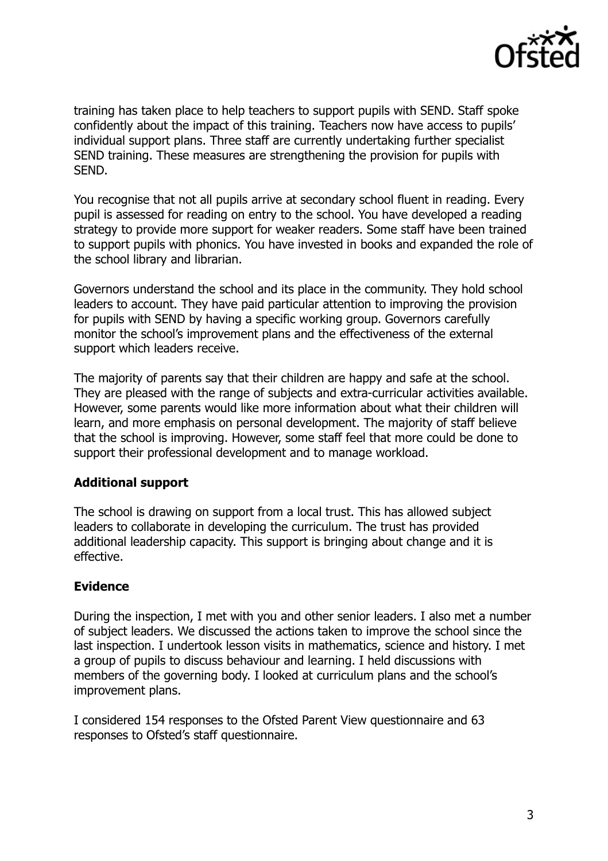

training has taken place to help teachers to support pupils with SEND. Staff spoke confidently about the impact of this training. Teachers now have access to pupils' individual support plans. Three staff are currently undertaking further specialist SEND training. These measures are strengthening the provision for pupils with SEND.

You recognise that not all pupils arrive at secondary school fluent in reading. Every pupil is assessed for reading on entry to the school. You have developed a reading strategy to provide more support for weaker readers. Some staff have been trained to support pupils with phonics. You have invested in books and expanded the role of the school library and librarian.

Governors understand the school and its place in the community. They hold school leaders to account. They have paid particular attention to improving the provision for pupils with SEND by having a specific working group. Governors carefully monitor the school's improvement plans and the effectiveness of the external support which leaders receive.

The majority of parents say that their children are happy and safe at the school. They are pleased with the range of subjects and extra-curricular activities available. However, some parents would like more information about what their children will learn, and more emphasis on personal development. The majority of staff believe that the school is improving. However, some staff feel that more could be done to support their professional development and to manage workload.

## **Additional support**

The school is drawing on support from a local trust. This has allowed subject leaders to collaborate in developing the curriculum. The trust has provided additional leadership capacity. This support is bringing about change and it is effective.

## **Evidence**

During the inspection, I met with you and other senior leaders. I also met a number of subject leaders. We discussed the actions taken to improve the school since the last inspection. I undertook lesson visits in mathematics, science and history. I met a group of pupils to discuss behaviour and learning. I held discussions with members of the governing body. I looked at curriculum plans and the school's improvement plans.

I considered 154 responses to the Ofsted Parent View questionnaire and 63 responses to Ofsted's staff questionnaire.